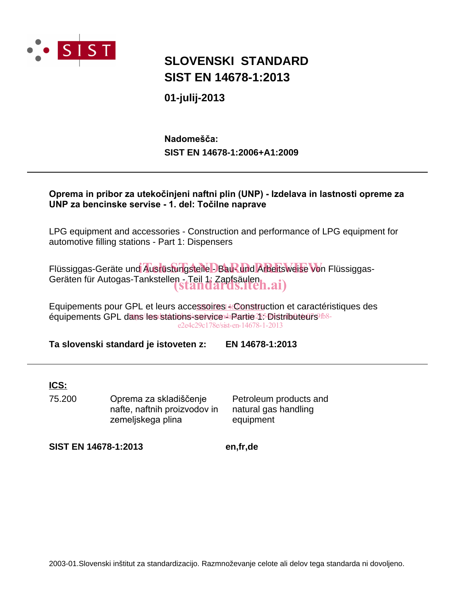

## **SIST EN 14678-1:2013 SLOVENSKI STANDARD**

## **01-julij-2013**

## **SIST EN 14678-1:2006+A1:2009** Nadomešča:

#### Oprema in pribor za utekočinjeni naftni plin (UNP) - Izdelava in lastnosti opreme za UNP za bencinske servise - 1. del: Točilne naprave

LPG equipment and accessories - Construction and performance of LPG equipment for automotive filling stations - Part 1: Dispensers

Flüssiggas-Geräte und Ausrüstungsteile DBau- und Arbeitsweise von Flüssiggas-Geräten für Autogas-Tankstellen - Teil 1: Zapfsäulen<br>
(standards.iteh.ai)

Equipements pour GPL et leurs accessoires 4 Construction et caractéristiques des équipements GPL dans/les stations service da Partie 25-Distributeurs b8e2e4c29c178e/sist-en-14678-1-2013

**Ta slovenski standard je istoveten z: EN 14678-1:2013**

### **ICS:**

75.200 Oprema za skladiščenje nafte, naftnih proizvodov in zemeljskega plina

Petroleum products and natural gas handling equipment

**SIST EN 14678-1:2013 en,fr,de**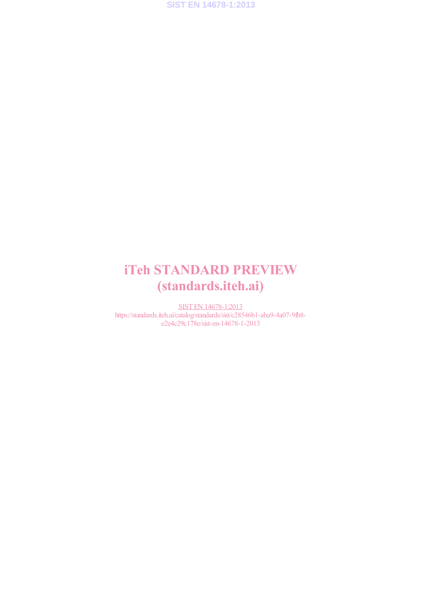

# iTeh STANDARD PREVIEW (standards.iteh.ai)

SIST EN 14678-1:2013 https://standards.iteh.ai/catalog/standards/sist/c28546b1-aba9-4a07-9fb8 e2e4c29c178e/sist-en-14678-1-2013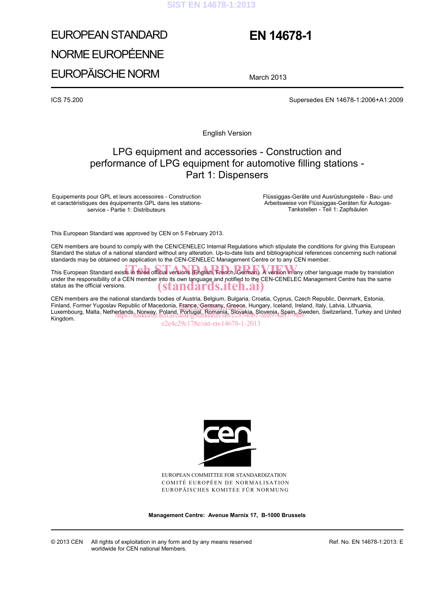#### **SIST EN 14678-1:2013**

# EUROPEAN STANDARD NORME EUROPÉENNE EUROPÄISCHE NORM

## **EN 14678-1**

March 2013

ICS 75.200 Supersedes EN 14678-1:2006+A1:2009

English Version

## LPG equipment and accessories - Construction and performance of LPG equipment for automotive filling stations - Part 1: Dispensers

Equipements pour GPL et leurs accessoires - Construction et caractéristiques des équipements GPL dans les stationsservice - Partie 1: Distributeurs

Flüssiggas-Geräte und Ausrüstungsteile - Bau- und Arbeitsweise von Flüssiggas-Geräten für Autogas-Tankstellen - Teil 1: Zapfsäulen

This European Standard was approved by CEN on 5 February 2013.

CEN members are bound to comply with the CEN/CENELEC Internal Regulations which stipulate the conditions for giving this European Standard the status of a national standard without any alteration. Up-to-date lists and bibliographical references concerning such national standards may be obtained on application to the CEN-CENELEC Management Centre or to any CEN member.

This European Standard exists in three official versions (English, French, German). A version in any other language made by translation under the responsibility of a CEN member into its own language and notified to the CEN-CENELEC Management Centre has the same status as the official versions. (standards.iteh.ai)

CEN members are the national standards bodies of Austria, Belgium, Bulgaria, Croatia, Cyprus, Czech Republic, Denmark, Estonia, Finland, Former Yugoslav Republic of Macedonia, France, Germany, Greece, Hungary, Iceland, Ireland, Italy, Latvia, Lithuania, Luxembourg, Malta, Netherlands, Norway, Poland, Portugal, Romania, Slovakia, Slovenia, Spain, Sweden, Switzerland, Turkey and United<br>Kingdom Kingdom.

e2e4c29c178e/sist-en-14678-1-2013



EUROPEAN COMMITTEE FOR STANDARDIZATION COMITÉ EUROPÉEN DE NORMALISATION EUROPÄISCHES KOMITEE FÜR NORMUNG

**Management Centre: Avenue Marnix 17, B-1000 Brussels**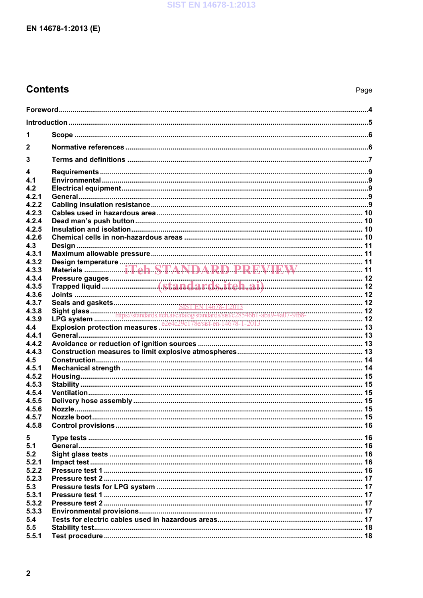## **Contents**

| 1              |           |  |
|----------------|-----------|--|
| $\mathbf{2}$   |           |  |
| 3              |           |  |
| 4              |           |  |
| 4.1            |           |  |
| 4.2            |           |  |
| 4.2.1          |           |  |
| 4.2.2          |           |  |
| 4.2.3          |           |  |
| 4.2.4          |           |  |
| 4.2.5          |           |  |
| 4.2.6          |           |  |
| 4.3            |           |  |
| 4.3.1<br>4.3.2 |           |  |
| 4.3.3          |           |  |
| 4.3.4          |           |  |
| 4.3.5          |           |  |
| 4.3.6          | <u>12</u> |  |
| 4.3.7          |           |  |
| 4.3.8          |           |  |
| 4.3.9          |           |  |
| 4.4            |           |  |
| 4.4.1          |           |  |
| 4.4.2          |           |  |
| 4.4.3          |           |  |
| 4.5            |           |  |
| 4.5.1          |           |  |
| 4.5.2          |           |  |
| 4.5.3          |           |  |
| 4.5.4          |           |  |
| 4.5.5          |           |  |
| 4.5.6          |           |  |
| 4.5.7          |           |  |
| 4.5.8          |           |  |
| 5              |           |  |
| 5.1            |           |  |
| 5.2            |           |  |
| 5.2.1          |           |  |
| 5.2.2          |           |  |
| 5.2.3          |           |  |
| 5.3            |           |  |
| 5.3.1          |           |  |
| 5.3.2          |           |  |
| 5.3.3          |           |  |
| 5.4            |           |  |
| 5.5            |           |  |
| 5.5.1          |           |  |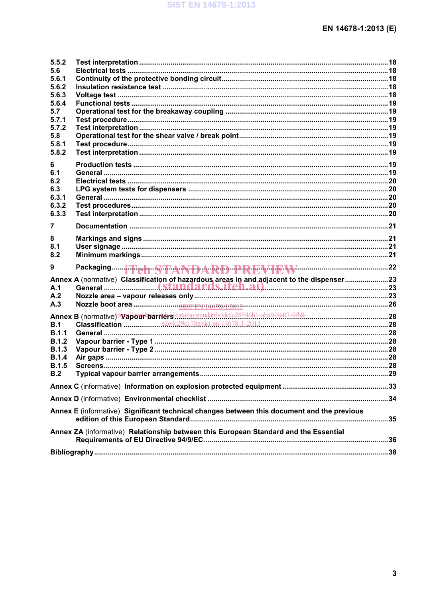| 5.5.2 |                                                                                                   |  |
|-------|---------------------------------------------------------------------------------------------------|--|
| 5.6   |                                                                                                   |  |
| 5.6.1 |                                                                                                   |  |
| 5.6.2 |                                                                                                   |  |
| 5.6.3 |                                                                                                   |  |
| 5.6.4 |                                                                                                   |  |
| 5.7   |                                                                                                   |  |
| 5.7.1 |                                                                                                   |  |
| 5.7.2 |                                                                                                   |  |
| 5.8   |                                                                                                   |  |
| 5.8.1 |                                                                                                   |  |
| 5.8.2 |                                                                                                   |  |
| 6     |                                                                                                   |  |
| 6.1   |                                                                                                   |  |
| 6.2   |                                                                                                   |  |
| 6.3   |                                                                                                   |  |
| 6.3.1 |                                                                                                   |  |
| 6.3.2 |                                                                                                   |  |
| 6.3.3 |                                                                                                   |  |
|       |                                                                                                   |  |
| 7     |                                                                                                   |  |
| 8     |                                                                                                   |  |
| 8.1   |                                                                                                   |  |
| 8.2   |                                                                                                   |  |
| 9     | HEIL STANDAMD E NEVIEW                                                                            |  |
|       | Annex A (normative) Classification of hazardous areas in and adjacent to the dispenser23          |  |
| A.1   |                                                                                                   |  |
| A.2   |                                                                                                   |  |
| A.3   |                                                                                                   |  |
|       | Annex B (normative) <sup>ht</sup> Vapour barriers/catalog/standards/sist/c28546b1-aba9-4a07-9fb8- |  |
| B.1   |                                                                                                   |  |
| B.1.1 |                                                                                                   |  |
| B.1.2 |                                                                                                   |  |
| B.1.3 |                                                                                                   |  |
| B.1.4 |                                                                                                   |  |
| B.1.5 |                                                                                                   |  |
| B.2   |                                                                                                   |  |
|       |                                                                                                   |  |
|       |                                                                                                   |  |
|       |                                                                                                   |  |
|       | Annex E (informative) Significant technical changes between this document and the previous        |  |
|       |                                                                                                   |  |
|       | Annex ZA (informative) Relationship between this European Standard and the Essential              |  |
|       |                                                                                                   |  |
|       |                                                                                                   |  |
|       |                                                                                                   |  |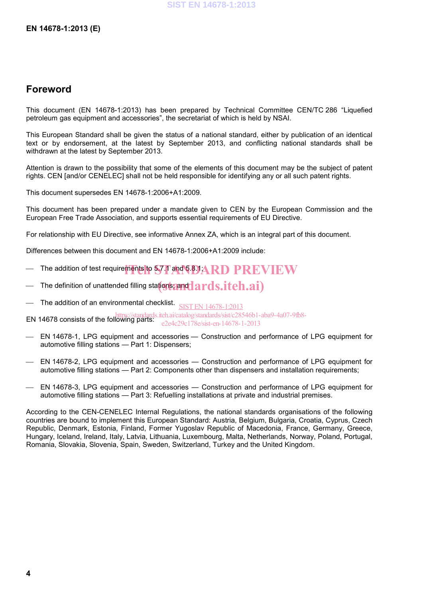### **Foreword**

This document (EN 14678-1:2013) has been prepared by Technical Committee CEN/TC 286 "Liquefied petroleum gas equipment and accessories", the secretariat of which is held by NSAI.

This European Standard shall be given the status of a national standard, either by publication of an identical text or by endorsement, at the latest by September 2013, and conflicting national standards shall be withdrawn at the latest by September 2013.

Attention is drawn to the possibility that some of the elements of this document may be the subject of patent rights. CEN [and/or CENELEC] shall not be held responsible for identifying any or all such patent rights.

This document supersedes EN 14678-1:2006+A1:2009.

This document has been prepared under a mandate given to CEN by the European Commission and the European Free Trade Association, and supports essential requirements of EU Directive.

For relationship with EU Directive, see informative Annex ZA, which is an integral part of this document.

Differences between this document and EN 14678-1:2006+A1:2009 include:

- $-$  The addition of test requirements to 5.7.1 and 5.8.1; ARD PREVIEW
- $-$  The definition of unattended filling stations; and  $\overline{ards.iteh.ai)}$
- $-$  The addition of an environmental checklist.  $\frac{\text{SIST EN }14678-1:2013}{5}$
- EN 14678 consists of the following parts:<br>  $\frac{h_{\text{th}}}{284 \times 204 \times 204 \times 204 \times 204 \times 204 \times 204 \times 204 \times 204 \times 204 \times 204 \times 204 \times 204 \times 204 \times 204 \times 204 \times 204 \times 204 \times 204 \times 204 \times 204 \times 204 \times 204 \times 204 \times 204 \times 204 \times 204 \times 204 \times$ e2e4c29c178e/sist-en-14678-1-2013
- EN 14678-1, LPG equipment and accessories Construction and performance of LPG equipment for automotive filling stations — Part 1: Dispensers;
- EN 14678-2, LPG equipment and accessories Construction and performance of LPG equipment for automotive filling stations — Part 2: Components other than dispensers and installation requirements;
- EN 14678-3, LPG equipment and accessories Construction and performance of LPG equipment for automotive filling stations — Part 3: Refuelling installations at private and industrial premises.

According to the CEN-CENELEC Internal Regulations, the national standards organisations of the following countries are bound to implement this European Standard: Austria, Belgium, Bulgaria, Croatia, Cyprus, Czech Republic, Denmark, Estonia, Finland, Former Yugoslav Republic of Macedonia, France, Germany, Greece, Hungary, Iceland, Ireland, Italy, Latvia, Lithuania, Luxembourg, Malta, Netherlands, Norway, Poland, Portugal, Romania, Slovakia, Slovenia, Spain, Sweden, Switzerland, Turkey and the United Kingdom.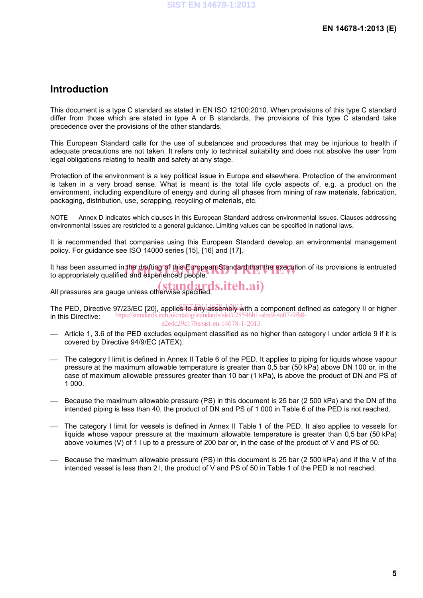## **Introduction**

This document is a type C standard as stated in EN ISO 12100:2010. When provisions of this type C standard differ from those which are stated in type A or B standards, the provisions of this type C standard take precedence over the provisions of the other standards.

This European Standard calls for the use of substances and procedures that may be injurious to health if adequate precautions are not taken. It refers only to technical suitability and does not absolve the user from legal obligations relating to health and safety at any stage.

Protection of the environment is a key political issue in Europe and elsewhere. Protection of the environment is taken in a very broad sense. What is meant is the total life cycle aspects of, e.g. a product on the environment, including expenditure of energy and during all phases from mining of raw materials, fabrication, packaging, distribution, use, scrapping, recycling of materials, etc.

NOTE Annex D indicates which clauses in this European Standard address environmental issues. Clauses addressing environmental issues are restricted to a general guidance. Limiting values can be specified in national laws.

It is recommended that companies using this European Standard develop an environmental management policy. For guidance see ISO 14000 series [15], [16] and [17].

It has been assumed in the drafting of this European Standard that the execution of its provisions is entrusted<br>to appropriately qualified and experienced people. to appropriately qualified and experienced people.

All pressures are gauge unless otherwise specified. **All pressures are gauge unless otherwise specified.** 

The PED, Directive 97/23/EC [20], applies to any assembly with a component defined as category II or higher in this Directive: https://standards.iteh.ai/catalog/standards/sist/c28546b1-aba9-4a07-9fb8 e2e4c29c178e/sist-en-14678-1-2013

- Article 1, 3.6 of the PED excludes equipment classified as no higher than category I under article 9 if it is covered by Directive 94/9/EC (ATEX).
- The category I limit is defined in Annex II Table 6 of the PED. It applies to piping for liquids whose vapour pressure at the maximum allowable temperature is greater than 0,5 bar (50 kPa) above DN 100 or, in the case of maximum allowable pressures greater than 10 bar (1 kPa), is above the product of DN and PS of 1 000.
- Because the maximum allowable pressure (PS) in this document is 25 bar (2 500 kPa) and the DN of the intended piping is less than 40, the product of DN and PS of 1 000 in Table 6 of the PED is not reached.
- The category I limit for vessels is defined in Annex II Table 1 of the PED. It also applies to vessels for liquids whose vapour pressure at the maximum allowable temperature is greater than 0,5 bar (50 kPa) above volumes (V) of 1 l up to a pressure of 200 bar or, in the case of the product of V and PS of 50.
- Because the maximum allowable pressure (PS) in this document is 25 bar (2 500 kPa) and if the V of the intended vessel is less than 2 l, the product of V and PS of 50 in Table 1 of the PED is not reached.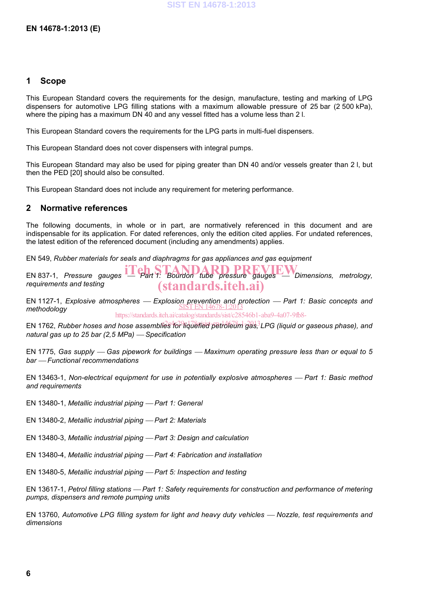#### **1 Scope**

This European Standard covers the requirements for the design, manufacture, testing and marking of LPG dispensers for automotive LPG filling stations with a maximum allowable pressure of 25 bar (2 500 kPa), where the piping has a maximum DN 40 and any vessel fitted has a volume less than 2 l.

This European Standard covers the requirements for the LPG parts in multi-fuel dispensers.

This European Standard does not cover dispensers with integral pumps.

This European Standard may also be used for piping greater than DN 40 and/or vessels greater than 2 l, but then the PED [20] should also be consulted.

This European Standard does not include any requirement for metering performance.

#### **2 Normative references**

The following documents, in whole or in part, are normatively referenced in this document and are indispensable for its application. For dated references, only the edition cited applies. For undated references, the latest edition of the referenced document (including any amendments) applies.

EN 549, *Rubber materials for seals and diaphragms for gas appliances and gas equipment*

EN 837-1, *Pressure gauges* **it Charles Bourdon tube pressure gauges Dimensions, metrology,** *requirements and testing* (standards.iteh.ai)

EN 1127-1, *Explosive atmospheres Explosion prevention and protection Part 1: Basic concepts and*  SIST EN 14678-1:2013 *methodology* https://standards.iteh.ai/catalog/standards/sist/c28546b1-aba9-4a07-9fb8-

EN 1762, *Rubber hoses and hose assemblies for liquefied petroleum gas, LPG (liquid or gaseous phase), and natural gas up to 25 bar (2,5 MPa) Specification*

EN 1775, *Gas supply Gas pipework for buildings Maximum operating pressure less than or equal to 5 bar Functional recommendations*

EN 13463-1, *Non-electrical equipment for use in potentially explosive atmospheres — Part 1: Basic method and requirements*

EN 13480-1, *Metallic industrial piping Part 1: General*

EN 13480-2, *Metallic industrial piping Part 2: Materials*

EN 13480-3, *Metallic industrial piping Part 3: Design and calculation*

EN 13480-4, *Metallic industrial piping Part 4: Fabrication and installation*

EN 13480-5, *Metallic industrial piping Part 5: Inspection and testing*

EN 13617-1, *Petrol filling stations Part 1: Safety requirements for construction and performance of metering pumps, dispensers and remote pumping units*

EN 13760, *Automotive LPG filling system for light and heavy duty vehicles Nozzle, test requirements and dimensions*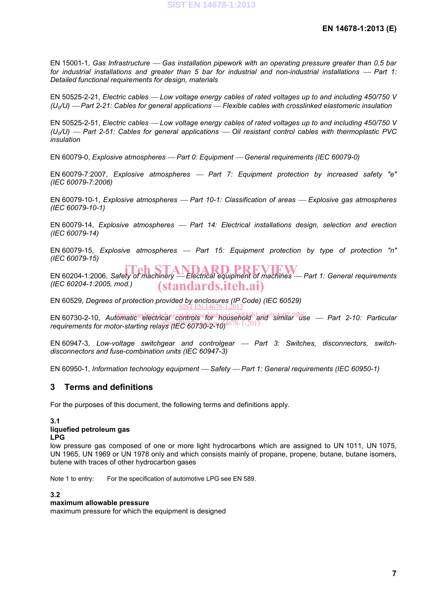EN 15001-1, *Gas Infrastructure Gas installation pipework with an operating pressure greater than 0,5 bar for industrial installations and greater than 5 bar for industrial and non-industrial installations – Part 1: Detailed functional requirements for design, materials*

EN 50525-2-21, *Electric cables Low voltage energy cables of rated voltages up to and including 450/750 V (U0/U) Part 2-21: Cables for general applications Flexible cables with crosslinked elastomeric insulation*

EN 50525-2-51, *Electric cables Low voltage energy cables of rated voltages up to and including 450/750 V (U0/U) Part 2-51: Cables for general applications Oil resistant control cables with thermoplastic PVC insulation*

EN 60079-0, *Explosive atmospheres Part 0: Equipment General requirements (IEC 60079-0)*

EN 60079-7:2007, *Explosive atmospheres Part 7: Equipment protection by increased safety "e" (IEC 60079-7:2006)*

EN 60079-10-1, *Explosive atmospheres Part 10-1: Classification of areas Explosive gas atmospheres (IEC 60079-10-1)*

EN 60079-14, *Explosive atmospheres Part 14: Electrical installations design, selection and erection (IEC 60079-14)*

EN 60079-15, *Explosive atmospheres Part 15: Equipment protection by type of protection "n" (IEC 60079-15)*

EN 60204-1:2006, Safety of machinery — Electrical equipment of machines — Part 1: General requirements *(IEC 60204-1:2005, mod.)* (standards.iteh.ai)

EN 60529, *Degrees of protection provided by enclosures (IP Code) (IEC 60529)* SIST EN 14678-1:2013

EN 60730-2-10, *Automatic electrican<sup>t</sup> controls for household* and similar use — Part 2-10: Particular extractive Environments for material and contract the contract of the contract of the contract of the contract o

EN 60947-3, *Low-voltage switchgear and controlgear Part 3: Switches, disconnectors, switchdisconnectors and fuse-combination units (IEC 60947-3)*

EN 60950-1, *Information technology equipment Safety Part 1: General requirements (IEC 60950-1)*

#### **3 Terms and definitions**

For the purposes of this document, the following terms and definitions apply.

#### **3.1 liquefied petroleum gas**

**LPG**

low pressure gas composed of one or more light hydrocarbons which are assigned to UN 1011, UN 1075, UN 1965, UN 1969 or UN 1978 only and which consists mainly of propane, propene, butane, butane isomers, butene with traces of other hydrocarbon gases

Note 1 to entry: For the specification of automotive LPG see EN 589.

#### **3.2**

#### **maximum allowable pressure**

maximum pressure for which the equipment is designed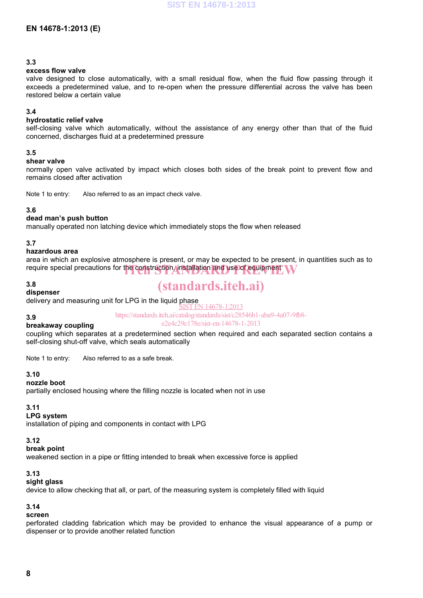#### **3.3**

#### **excess flow valve**

valve designed to close automatically, with a small residual flow, when the fluid flow passing through it exceeds a predetermined value, and to re-open when the pressure differential across the valve has been restored below a certain value

#### **3.4**

#### **hydrostatic relief valve**

self-closing valve which automatically, without the assistance of any energy other than that of the fluid concerned, discharges fluid at a predetermined pressure

#### **3.5**

#### **shear valve**

normally open valve activated by impact which closes both sides of the break point to prevent flow and remains closed after activation

Note 1 to entry: Also referred to as an impact check valve.

#### **3.6**

#### **dead man's push button**

manually operated non latching device which immediately stops the flow when released

#### **3.7**

#### **hazardous area**

area in which an explosive atmosphere is present, or may be expected to be present, in quantities such as to require special precautions for the construction, installation and use of equipment W

#### **3.8**

#### **dispenser**

(standards.iteh.ai)

delivery and measuring unit for LPG in the liquid phase 14678-1:2013

#### **3.9**

https://standards.iteh.ai/catalog/standards/sist/c28546b1-aba9-4a07-9fb8 e2e4c29c178e/sist-en-14678-1-2013

#### **breakaway coupling**

coupling which separates at a predetermined section when required and each separated section contains a self-closing shut-off valve, which seals automatically

Note 1 to entry: Also referred to as a safe break.

#### **3.10**

#### **nozzle boot**

partially enclosed housing where the filling nozzle is located when not in use

#### **3.11**

#### **LPG system**

installation of piping and components in contact with LPG

#### **3.12**

#### **break point**

weakened section in a pipe or fitting intended to break when excessive force is applied

#### **3.13**

#### **sight glass**

device to allow checking that all, or part, of the measuring system is completely filled with liquid

#### **3.14**

#### **screen**

perforated cladding fabrication which may be provided to enhance the visual appearance of a pump or dispenser or to provide another related function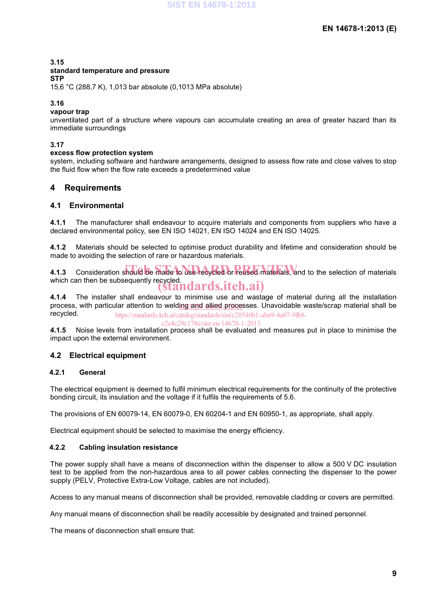#### **3.15 standard temperature and pressure STP**

15,6 °C (288,7 K), 1,013 bar absolute (0,1013 MPa absolute)

#### **3.16**

#### **vapour trap**

unventilated part of a structure where vapours can accumulate creating an area of greater hazard than its immediate surroundings

#### **3.17**

#### **excess flow protection system**

system, including software and hardware arrangements, designed to assess flow rate and close valves to stop the fluid flow when the flow rate exceeds a predetermined value

#### **4 Requirements**

#### **4.1 Environmental**

**4.1.1** The manufacturer shall endeavour to acquire materials and components from suppliers who have a declared environmental policy, see EN ISO 14021, EN ISO 14024 and EN ISO 14025.

**4.1.2** Materials should be selected to optimise product durability and lifetime and consideration should be made to avoiding the selection of rare or hazardous materials.

**4.1.3** Consideration should be made to use recycled or reused materials, and to the selection of materials which can then be subsequently recycled. (standards.iteh.ai)

**4.1.4** The installer shall endeavour to minimise use and wastage of material during all the installation process, with particular attention to welding and allied processes. Unavoidable waste/scrap material shall be recycled. https://standards.iteh.ai/catalog/standards/sist/c28546b1-aba9-4a07-9fb8-

e2e4c29c178e/sist-en-14678-1-2013

**4.1.5** Noise levels from installation process shall be evaluated and measures put in place to minimise the impact upon the external environment.

#### **4.2 Electrical equipment**

#### **4.2.1 General**

The electrical equipment is deemed to fulfil minimum electrical requirements for the continuity of the protective bonding circuit, its insulation and the voltage if it fulfils the requirements of 5.6.

The provisions of EN 60079-14, EN 60079-0, EN 60204-1 and EN 60950-1, as appropriate, shall apply.

Electrical equipment should be selected to maximise the energy efficiency.

#### **4.2.2 Cabling insulation resistance**

The power supply shall have a means of disconnection within the dispenser to allow a 500 V DC insulation test to be applied from the non-hazardous area to all power cables connecting the dispenser to the power supply (PELV, Protective Extra-Low Voltage, cables are not included).

Access to any manual means of disconnection shall be provided, removable cladding or covers are permitted.

Any manual means of disconnection shall be readily accessible by designated and trained personnel.

The means of disconnection shall ensure that: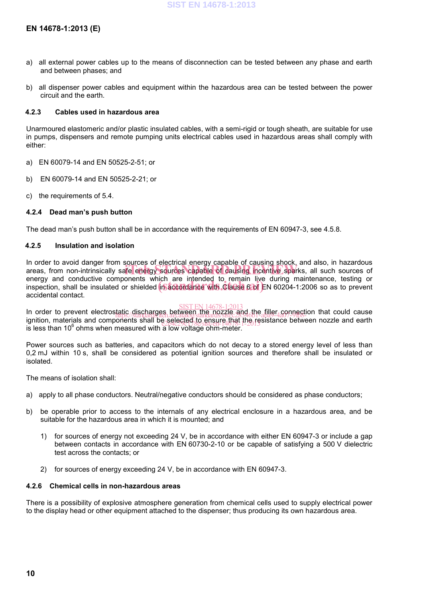- a) all external power cables up to the means of disconnection can be tested between any phase and earth and between phases; and
- b) all dispenser power cables and equipment within the hazardous area can be tested between the power circuit and the earth.

#### **4.2.3 Cables used in hazardous area**

Unarmoured elastomeric and/or plastic insulated cables, with a semi-rigid or tough sheath, are suitable for use in pumps, dispensers and remote pumping units electrical cables used in hazardous areas shall comply with either:

- a) EN 60079-14 and EN 50525-2-51; or
- b) EN 60079-14 and EN 50525-2-21; or
- c) the requirements of 5.4.

#### **4.2.4 Dead man's push button**

The dead man's push button shall be in accordance with the requirements of EN 60947-3, see 4.5.8.

#### **4.2.5 Insulation and isolation**

In order to avoid danger from sources of electrical energy capable of causing shock, and also, in hazardous In order to avoid dariger from sources of electrical energy capable of causing shock, and also, in hazardous<br>areas, from non-intrinsically safe energy sources capable of causing incentive sparks, all such sources of energy and conductive components which are intended to remain live during maintenance, testing or energy and conductive components which are intended to remain live during maintenance, testing or<br>inspection, shall be insulated or shielded in accordance with Clause 6 of EN 60204-1:2006 so as to prevent accidental contact.

In order to prevent electrostatic discharges between the nozzle and the filler connection that could cause ignition, materials and components shall be selected to ensure that the resistance between nozzle and earth is<br>in less than 10<sup>6</sup> ehme when mesoured with a have the that the resistance between nozzle and earth is less than  $10^6$  ohms when measured with a low voltage ohm-meter. https://standards.iteh.ai/catalog/standards/sist/c28546b1-aba9-4a07-9fb8-

Power sources such as batteries, and capacitors which do not decay to a stored energy level of less than 0,2 mJ within 10 s, shall be considered as potential ignition sources and therefore shall be insulated or isolated.

The means of isolation shall:

- a) apply to all phase conductors. Neutral/negative conductors should be considered as phase conductors;
- b) be operable prior to access to the internals of any electrical enclosure in a hazardous area, and be suitable for the hazardous area in which it is mounted; and
	- 1) for sources of energy not exceeding 24 V, be in accordance with either EN 60947-3 or include a gap between contacts in accordance with EN 60730-2-10 or be capable of satisfying a 500 V dielectric test across the contacts; or
	- 2) for sources of energy exceeding 24 V, be in accordance with EN 60947-3.

#### **4.2.6 Chemical cells in non-hazardous areas**

There is a possibility of explosive atmosphere generation from chemical cells used to supply electrical power to the display head or other equipment attached to the dispenser; thus producing its own hazardous area.